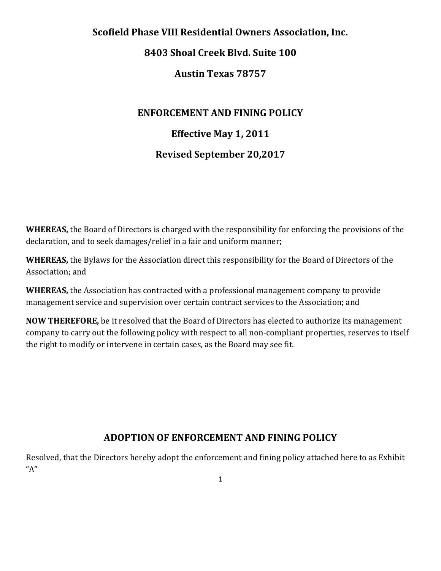# **Scofield Phase VIII Residential Owners Association, Inc.**

# **8403 Shoal Creek Blvd. Suite 100**

# **Austin Texas 78757**

# **ENFORCEMENT AND FINING POLICY**

# **Effective May 1, 2011**

# **Revised September 20,2017**

**WHEREAS,** the Board of Directors is charged with the responsibility for enforcing the provisions of the declaration, and to seek damages/relief in a fair and uniform manner;

**WHEREAS,** the Bylaws for the Association direct this responsibility for the Board of Directors of the Association; and

**WHEREAS,** the Association has contracted with a professional management company to provide management service and supervision over certain contract services to the Association; and

**NOW THEREFORE,** be it resolved that the Board of Directors has elected to authorize its management company to carry out the following policy with respect to all non-compliant properties, reserves to itself the right to modify or intervene in certain cases, as the Board may see fit.

# **ADOPTION OF ENFORCEMENT AND FINING POLICY**

Resolved, that the Directors hereby adopt the enforcement and fining policy attached here to as Exhibit "A"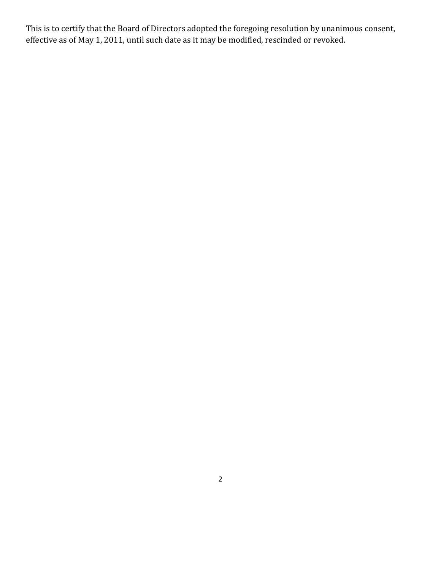This is to certify that the Board of Directors adopted the foregoing resolution by unanimous consent, effective as of May 1, 2011, until such date as it may be modified, rescinded or revoked.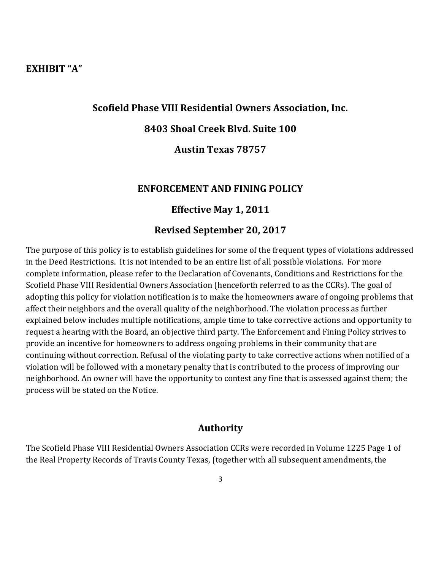# **EXHIBIT "A"**

## **Scofield Phase VIII Residential Owners Association, Inc.**

## **8403 Shoal Creek Blvd. Suite 100**

## **Austin Texas 78757**

#### **ENFORCEMENT AND FINING POLICY**

#### **Effective May 1, 2011**

### **Revised September 20, 2017**

The purpose of this policy is to establish guidelines for some of the frequent types of violations addressed in the Deed Restrictions. It is not intended to be an entire list of all possible violations. For more complete information, please refer to the Declaration of Covenants, Conditions and Restrictions for the Scofield Phase VIII Residential Owners Association (henceforth referred to as the CCRs). The goal of adopting this policy for violation notification is to make the homeowners aware of ongoing problems that affect their neighbors and the overall quality of the neighborhood. The violation process as further explained below includes multiple notifications, ample time to take corrective actions and opportunity to request a hearing with the Board, an objective third party. The Enforcement and Fining Policy strives to provide an incentive for homeowners to address ongoing problems in their community that are continuing without correction. Refusal of the violating party to take corrective actions when notified of a violation will be followed with a monetary penalty that is contributed to the process of improving our neighborhood. An owner will have the opportunity to contest any fine that is assessed against them; the process will be stated on the Notice.

## **Authority**

The Scofield Phase VIII Residential Owners Association CCRs were recorded in Volume 1225 Page 1 of the Real Property Records of Travis County Texas, (together with all subsequent amendments, the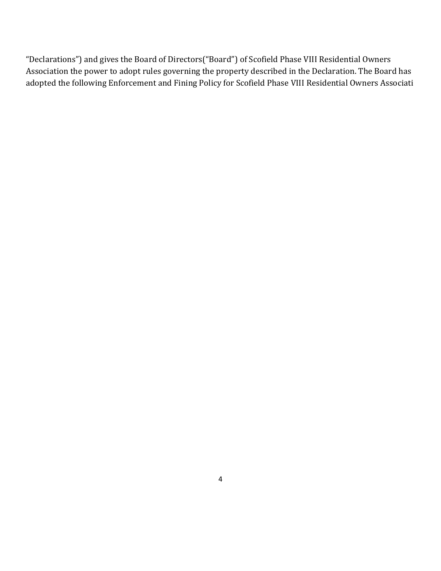"Declarations") and gives the Board of Directors("Board") of Scofield Phase VIII Residential Owners Association the power to adopt rules governing the property described in the Declaration. The Board has adopted the following Enforcement and Fining Policy for Scofield Phase VIII Residential Owners Associati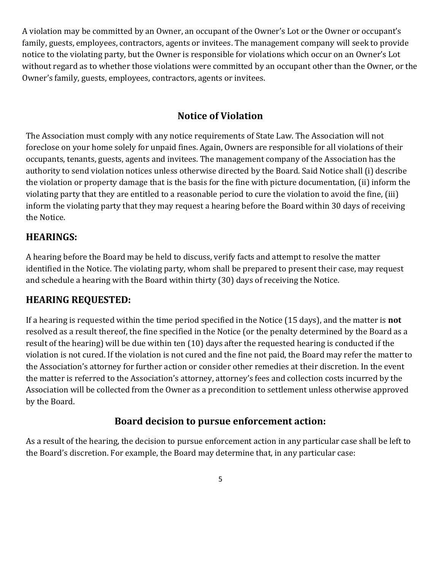A violation may be committed by an Owner, an occupant of the Owner's Lot or the Owner or occupant's family, guests, employees, contractors, agents or invitees. The management company will seek to provide notice to the violating party, but the Owner is responsible for violations which occur on an Owner's Lot without regard as to whether those violations were committed by an occupant other than the Owner, or the Owner's family, guests, employees, contractors, agents or invitees.

# **Notice of Violation**

The Association must comply with any notice requirements of State Law. The Association will not foreclose on your home solely for unpaid fines. Again, Owners are responsible for all violations of their occupants, tenants, guests, agents and invitees. The management company of the Association has the authority to send violation notices unless otherwise directed by the Board. Said Notice shall (i) describe the violation or property damage that is the basis for the fine with picture documentation, (ii) inform the violating party that they are entitled to a reasonable period to cure the violation to avoid the fine, (iii) inform the violating party that they may request a hearing before the Board within 30 days of receiving the Notice.

# **HEARINGS:**

A hearing before the Board may be held to discuss, verify facts and attempt to resolve the matter identified in the Notice. The violating party, whom shall be prepared to present their case, may request and schedule a hearing with the Board within thirty (30) days of receiving the Notice.

# **HEARING REQUESTED:**

If a hearing is requested within the time period specified in the Notice (15 days), and the matter is **not**  resolved as a result thereof, the fine specified in the Notice (or the penalty determined by the Board as a result of the hearing) will be due within ten (10) days after the requested hearing is conducted if the violation is not cured. If the violation is not cured and the fine not paid, the Board may refer the matter to the Association's attorney for further action or consider other remedies at their discretion. In the event the matter is referred to the Association's attorney, attorney's fees and collection costs incurred by the Association will be collected from the Owner as a precondition to settlement unless otherwise approved by the Board.

# **Board decision to pursue enforcement action:**

As a result of the hearing, the decision to pursue enforcement action in any particular case shall be left to the Board's discretion. For example, the Board may determine that, in any particular case: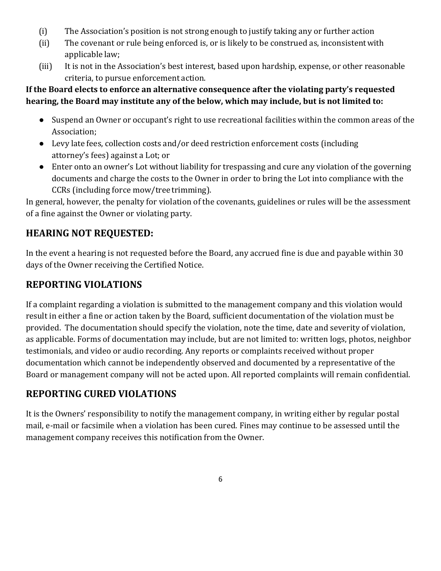- (i) The Association's position is not strong enough to justify taking any or further action
- (ii) The covenant or rule being enforced is, or is likely to be construed as, inconsistentwith applicable law;
- (iii) It is not in the Association's best interest, based upon hardship, expense, or other reasonable criteria, to pursue enforcement action.

# **If the Board elects to enforce an alternative consequence after the violating party's requested hearing, the Board may institute any of the below, which may include, but is not limited to:**

- Suspend an Owner or occupant's right to use recreational facilities within the common areas of the Association;
- Levy late fees, collection costs and/or deed restriction enforcement costs (including attorney's fees) against a Lot; or
- Enter onto an owner's Lot without liability for trespassing and cure any violation of the governing documents and charge the costs to the Owner in order to bring the Lot into compliance with the CCRs (including force mow/tree trimming).

In general, however, the penalty for violation of the covenants, guidelines or rules will be the assessment of a fine against the Owner or violating party.

# **HEARING NOT REQUESTED:**

In the event a hearing is not requested before the Board, any accrued fine is due and payable within 30 days of the Owner receiving the Certified Notice.

# **REPORTING VIOLATIONS**

If a complaint regarding a violation is submitted to the management company and this violation would result in either a fine or action taken by the Board, sufficient documentation of the violation must be provided. The documentation should specify the violation, note the time, date and severity of violation, as applicable. Forms of documentation may include, but are not limited to: written logs, photos, neighbor testimonials, and video or audio recording. Any reports or complaints received without proper documentation which cannot be independently observed and documented by a representative of the Board or management company will not be acted upon. All reported complaints will remain confidential.

# **REPORTING CURED VIOLATIONS**

It is the Owners' responsibility to notify the management company, in writing either by regular postal mail, e-mail or facsimile when a violation has been cured. Fines may continue to be assessed until the management company receives this notification from the Owner.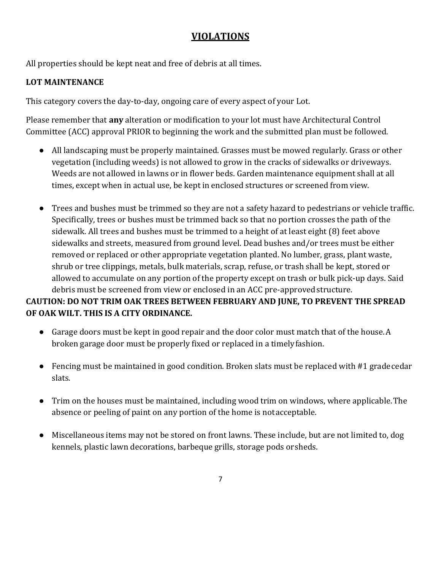# **VIOLATIONS**

All properties should be kept neat and free of debris at all times.

# **LOT MAINTENANCE**

This category covers the day-to-day, ongoing care of every aspect of your Lot.

Please remember that **any** alteration or modification to your lot must have Architectural Control Committee (ACC) approval PRIOR to beginning the work and the submitted plan must be followed.

- All landscaping must be properly maintained. Grasses must be mowed regularly. Grass or other vegetation (including weeds) is not allowed to grow in the cracks of sidewalks or driveways. Weeds are not allowed in lawns or in flower beds. Garden maintenance equipment shall at all times, except when in actual use, be kept in enclosed structures or screened from view.
- Trees and bushes must be trimmed so they are not a safety hazard to pedestrians or vehicle traffic. Specifically, trees or bushes must be trimmed back so that no portion crosses the path of the sidewalk. All trees and bushes must be trimmed to a height of at least eight (8) feet above sidewalks and streets, measured from ground level. Dead bushes and/or trees must be either removed or replaced or other appropriate vegetation planted. No lumber, grass, plant waste, shrub or tree clippings, metals, bulk materials, scrap, refuse, or trash shall be kept, stored or allowed to accumulate on any portion of the property except on trash or bulk pick-up days. Said debris must be screened from view or enclosed in an ACC pre-approvedstructure.

# **CAUTION: DO NOT TRIM OAK TREES BETWEEN FEBRUARY AND JUNE, TO PREVENT THE SPREAD OF OAK WILT. THIS IS A CITY ORDINANCE.**

- Garage doors must be kept in good repair and the door color must match that of the house.A broken garage door must be properly fixed or replaced in a timelyfashion.
- Fencing must be maintained in good condition. Broken slats must be replaced with #1 grade cedar slats.
- Trim on the houses must be maintained, including wood trim on windows, where applicable.The absence or peeling of paint on any portion of the home is notacceptable.
- Miscellaneous items may not be stored on front lawns. These include, but are not limited to, dog kennels, plastic lawn decorations, barbeque grills, storage pods orsheds.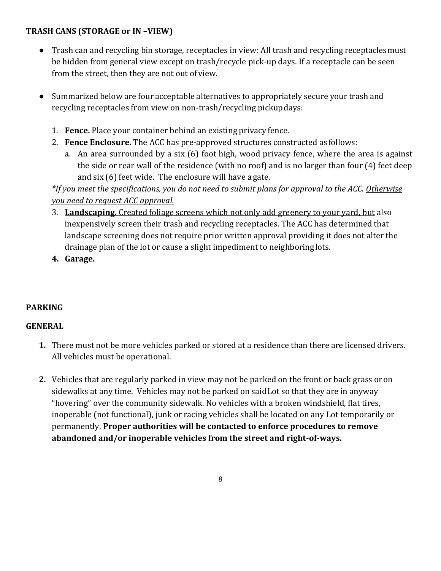# **TRASH CANS (STORAGE or IN –VIEW)**

- Trash can and recycling bin storage, receptacles in view: All trash and recycling receptaclesmust be hidden from general view except on trash/recycle pick-up days. If a receptacle can be seen from the street, then they are not out of view.
- Summarized below are four acceptable alternatives to appropriately secure your trash and recycling receptacles from view on non-trash/recycling pickupdays:
	- 1. **Fence.** Place your container behind an existing privacy fence.
	- 2. **Fence Enclosure.** The ACC has pre-approved structures constructed as follows:
		- a. An area surrounded by a six (6) foot high, wood privacy fence, where the area is against the side or rear wall of the residence (with no roof) and is no larger than four (4) feet deep and six (6) feet wide. The enclosure will have a gate.

*\*If you meet the specifications, you do not need to submit plans for approval to the ACC. Otherwise you need to request ACC approval.*

- 3. **Landscaping.** Created foliage screens which not only add greenery to your yard, but also inexpensively screen their trash and recycling receptacles. The ACC has determined that landscape screening does not require prior written approval providing it does not alter the drainage plan of the lot or cause a slight impediment to neighboringlots.
- **4. Garage.**

# **PARKING**

# **GENERAL**

- **1.** There must not be more vehicles parked or stored at a residence than there are licensed drivers. All vehicles must be operational.
- **2.** Vehicles that are regularly parked in view may not be parked on the front or back grass oron sidewalks at any time. Vehicles may not be parked on saidLot so that they are in anyway "hovering" over the community sidewalk. No vehicles with a broken windshield, flat tires, inoperable (not functional), junk or racing vehicles shall be located on any Lot temporarily or permanently. **Proper authorities will be contacted to enforce procedures to remove abandoned and/or inoperable vehicles from the street and right-of-ways.**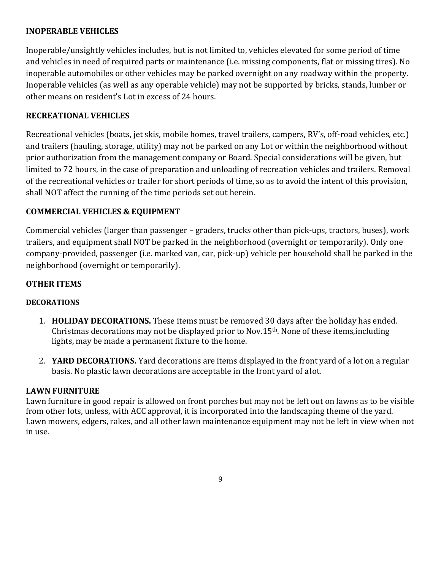# **INOPERABLE VEHICLES**

Inoperable/unsightly vehicles includes, but is not limited to, vehicles elevated for some period of time and vehicles in need of required parts or maintenance (i.e. missing components, flat or missing tires). No inoperable automobiles or other vehicles may be parked overnight on any roadway within the property. Inoperable vehicles (as well as any operable vehicle) may not be supported by bricks, stands, lumber or other means on resident's Lot in excess of 24 hours.

## **RECREATIONAL VEHICLES**

Recreational vehicles (boats, jet skis, mobile homes, travel trailers, campers, RV's, off-road vehicles, etc.) and trailers (hauling, storage, utility) may not be parked on any Lot or within the neighborhood without prior authorization from the management company or Board. Special considerations will be given, but limited to 72 hours, in the case of preparation and unloading of recreation vehicles and trailers. Removal of the recreational vehicles or trailer for short periods of time, so as to avoid the intent of this provision, shall NOT affect the running of the time periods set out herein.

## **COMMERCIAL VEHICLES & EQUIPMENT**

Commercial vehicles (larger than passenger – graders, trucks other than pick-ups, tractors, buses), work trailers, and equipment shall NOT be parked in the neighborhood (overnight or temporarily). Only one company-provided, passenger (i.e. marked van, car, pick-up) vehicle per household shall be parked in the neighborhood (overnight or temporarily).

#### **OTHER ITEMS**

#### **DECORATIONS**

- 1. **HOLIDAY DECORATIONS.** These items must be removed 30 days after the holiday has ended. Christmas decorations may not be displayed prior to Nov.15th. None of these items,including lights, may be made a permanent fixture to the home.
- 2. **YARD DECORATIONS.** Yard decorations are items displayed in the front yard of a lot on a regular basis. No plastic lawn decorations are acceptable in the front yard of alot.

#### **LAWN FURNITURE**

Lawn furniture in good repair is allowed on front porches but may not be left out on lawns as to be visible from other lots, unless, with ACC approval, it is incorporated into the landscaping theme of the yard. Lawn mowers, edgers, rakes, and all other lawn maintenance equipment may not be left in view when not in use.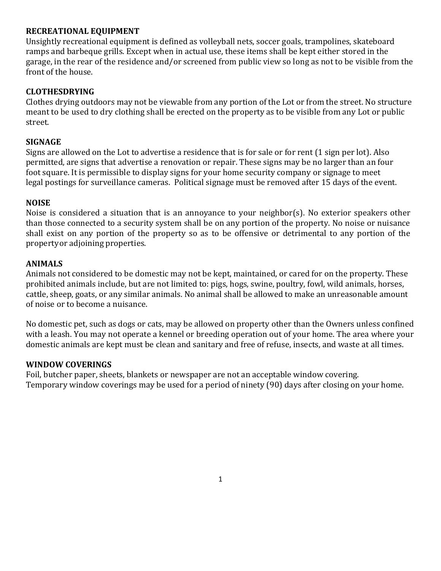#### **RECREATIONAL EQUIPMENT**

Unsightly recreational equipment is defined as volleyball nets, soccer goals, trampolines, skateboard ramps and barbeque grills. Except when in actual use, these items shall be kept either stored in the garage, in the rear of the residence and/or screened from public view so long as not to be visible from the front of the house.

## **CLOTHESDRYING**

Clothes drying outdoors may not be viewable from any portion of the Lot or from the street. No structure meant to be used to dry clothing shall be erected on the property as to be visible from any Lot or public street.

#### **SIGNAGE**

Signs are allowed on the Lot to advertise a residence that is for sale or for rent (1 sign per lot). Also permitted, are signs that advertise a renovation or repair. These signs may be no larger than an four foot square. It is permissible to display signs for your home security company or signage to meet legal postings for surveillance cameras. Political signage must be removed after 15 days of the event.

#### **NOISE**

Noise is considered a situation that is an annoyance to your neighbor(s). No exterior speakers other than those connected to a security system shall be on any portion of the property. No noise or nuisance shall exist on any portion of the property so as to be offensive or detrimental to any portion of the propertyor adjoining properties.

#### **ANIMALS**

Animals not considered to be domestic may not be kept, maintained, or cared for on the property. These prohibited animals include, but are not limited to: pigs, hogs, swine, poultry, fowl, wild animals, horses, cattle, sheep, goats, or any similar animals. No animal shall be allowed to make an unreasonable amount of noise or to become a nuisance.

No domestic pet, such as dogs or cats, may be allowed on property other than the Owners unless confined with a leash. You may not operate a kennel or breeding operation out of your home. The area where your domestic animals are kept must be clean and sanitary and free of refuse, insects, and waste at all times.

#### **WINDOW COVERINGS**

Foil, butcher paper, sheets, blankets or newspaper are not an acceptable window covering. Temporary window coverings may be used for a period of ninety (90) days after closing on your home.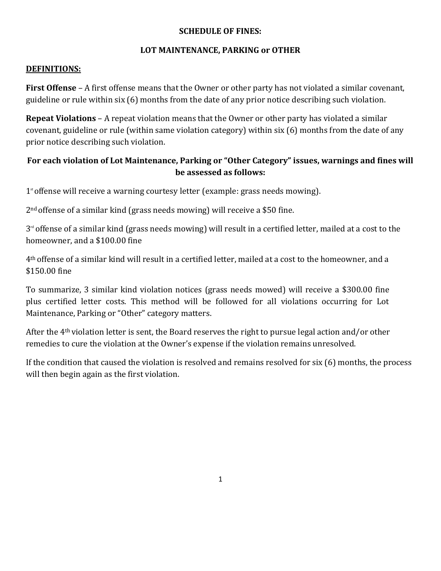#### **SCHEDULE OF FINES:**

## **LOT MAINTENANCE, PARKING or OTHER**

#### **DEFINITIONS:**

**First Offense** – A first offense means that the Owner or other party has not violated a similar covenant, guideline or rule within six (6) months from the date of any prior notice describing such violation.

**Repeat Violations** – A repeat violation means that the Owner or other party has violated a similar covenant, guideline or rule (within same violation category) within six (6) months from the date of any prior notice describing such violation.

# **For each violation of Lot Maintenance, Parking or "Other Category" issues, warnings and fines will be assessed as follows:**

1<sup>st</sup> offense will receive a warning courtesy letter (example: grass needs mowing).

2nd offense of a similar kind (grass needs mowing) will receive a \$50 fine.

 $3<sup>rd</sup>$  offense of a similar kind (grass needs mowing) will result in a certified letter, mailed at a cost to the homeowner, and a \$100.00 fine

4th offense of a similar kind will result in a certified letter, mailed at a cost to the homeowner, and a \$150.00 fine

To summarize, 3 similar kind violation notices (grass needs mowed) will receive a \$300.00 fine plus certified letter costs. This method will be followed for all violations occurring for Lot Maintenance, Parking or "Other" category matters.

After the 4th violation letter is sent, the Board reserves the right to pursue legal action and/or other remedies to cure the violation at the Owner's expense if the violation remains unresolved.

If the condition that caused the violation is resolved and remains resolved for six (6) months, the process will then begin again as the first violation.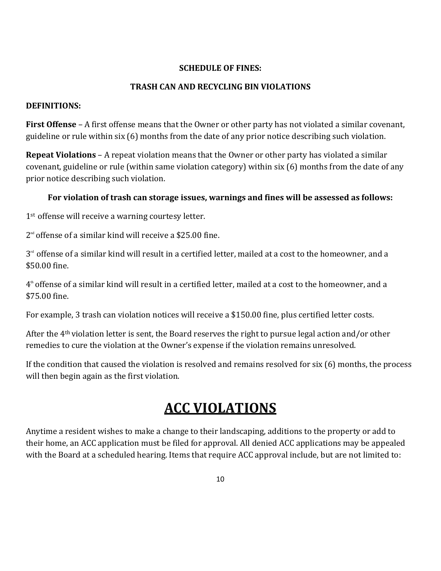## **SCHEDULE OF FINES:**

#### **TRASH CAN AND RECYCLING BIN VIOLATIONS**

#### **DEFINITIONS:**

**First Offense** – A first offense means that the Owner or other party has not violated a similar covenant, guideline or rule within six (6) months from the date of any prior notice describing such violation.

**Repeat Violations** – A repeat violation means that the Owner or other party has violated a similar covenant, guideline or rule (within same violation category) within six (6) months from the date of any prior notice describing such violation.

## **For violation of trash can storage issues, warnings and fines will be assessed as follows:**

1<sup>st</sup> offense will receive a warning courtesy letter.

2 nd offense of a similar kind will receive a \$25.00 fine.

 $3<sup>rd</sup>$  offense of a similar kind will result in a certified letter, mailed at a cost to the homeowner, and a \$50.00 fine.

4 th offense of a similar kind will result in a certified letter, mailed at a cost to the homeowner, and a \$75.00 fine.

For example, 3 trash can violation notices will receive a \$150.00 fine, plus certified letter costs.

After the 4th violation letter is sent, the Board reserves the right to pursue legal action and/or other remedies to cure the violation at the Owner's expense if the violation remains unresolved.

If the condition that caused the violation is resolved and remains resolved for six (6) months, the process will then begin again as the first violation.

# **ACC VIOLATIONS**

Anytime a resident wishes to make a change to their landscaping, additions to the property or add to their home, an ACC application must be filed for approval. All denied ACC applications may be appealed with the Board at a scheduled hearing. Items that require ACC approval include, but are not limited to: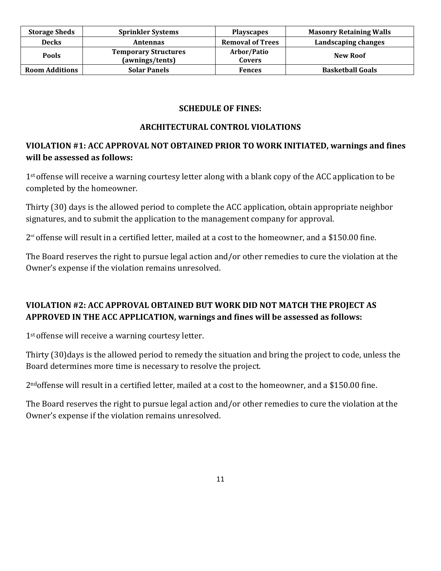| <b>Storage Sheds</b>  | <b>Sprinkler Systems</b>                       | <b>Playscapes</b>            | <b>Masonry Retaining Walls</b> |
|-----------------------|------------------------------------------------|------------------------------|--------------------------------|
| <b>Decks</b>          | Antennas                                       | <b>Removal of Trees</b>      | Landscaping changes            |
| <b>Pools</b>          | <b>Temporary Structures</b><br>(awnings/tents) | Arbor/Patio<br><b>Covers</b> | <b>New Roof</b>                |
| <b>Room Additions</b> | <b>Solar Panels</b>                            | <b>Fences</b>                | <b>Basketball Goals</b>        |

# **SCHEDULE OF FINES:**

## **ARCHITECTURAL CONTROL VIOLATIONS**

# **VIOLATION #1: ACC APPROVAL NOT OBTAINED PRIOR TO WORK INITIATED, warnings and fines will be assessed as follows:**

1<sup>st</sup> offense will receive a warning courtesy letter along with a blank copy of the ACC application to be completed by the homeowner.

Thirty (30) days is the allowed period to complete the ACC application, obtain appropriate neighbor signatures, and to submit the application to the management company for approval.

 $2^{\text{nd}}$  offense will result in a certified letter, mailed at a cost to the homeowner, and a \$150.00 fine.

The Board reserves the right to pursue legal action and/or other remedies to cure the violation at the Owner's expense if the violation remains unresolved.

# **VIOLATION #2: ACC APPROVAL OBTAINED BUT WORK DID NOT MATCH THE PROJECT AS APPROVED IN THE ACC APPLICATION, warnings and fines will be assessed as follows:**

1<sup>st</sup> offense will receive a warning courtesy letter.

Thirty (30)days is the allowed period to remedy the situation and bring the project to code, unless the Board determines more time is necessary to resolve the project.

2ndoffense will result in a certified letter, mailed at a cost to the homeowner, and a \$150.00 fine.

The Board reserves the right to pursue legal action and/or other remedies to cure the violation at the Owner's expense if the violation remains unresolved.